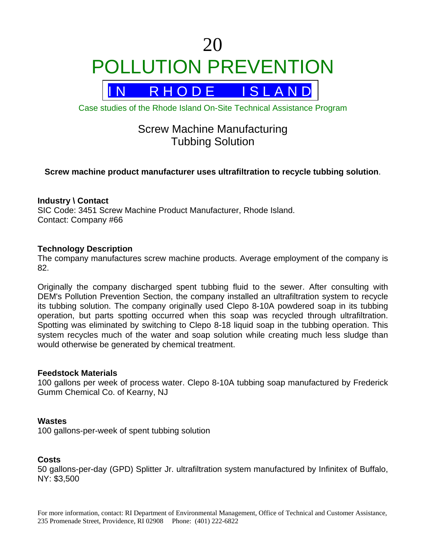# 20 POLLUTION PREVENTION



Case studies of the Rhode Island On-Site Technical Assistance Program

# Screw Machine Manufacturing Tubbing Solution

# **Screw machine product manufacturer uses ultrafiltration to recycle tubbing solution**.

# **Industry \ Contact**

SIC Code: 3451 Screw Machine Product Manufacturer, Rhode Island. Contact: Company #66

# **Technology Description**

The company manufactures screw machine products. Average employment of the company is 82.

Originally the company discharged spent tubbing fluid to the sewer. After consulting with DEM's Pollution Prevention Section, the company installed an ultrafiltration system to recycle its tubbing solution. The company originally used Clepo 8-10A powdered soap in its tubbing operation, but parts spotting occurred when this soap was recycled through ultrafiltration. Spotting was eliminated by switching to Clepo 8-18 liquid soap in the tubbing operation. This system recycles much of the water and soap solution while creating much less sludge than would otherwise be generated by chemical treatment.

### **Feedstock Materials**

100 gallons per week of process water. Clepo 8-10A tubbing soap manufactured by Frederick Gumm Chemical Co. of Kearny, NJ

### **Wastes**

100 gallons-per-week of spent tubbing solution

# **Costs**

50 gallons-per-day (GPD) Splitter Jr. ultrafiltration system manufactured by Infinitex of Buffalo, NY: \$3,500